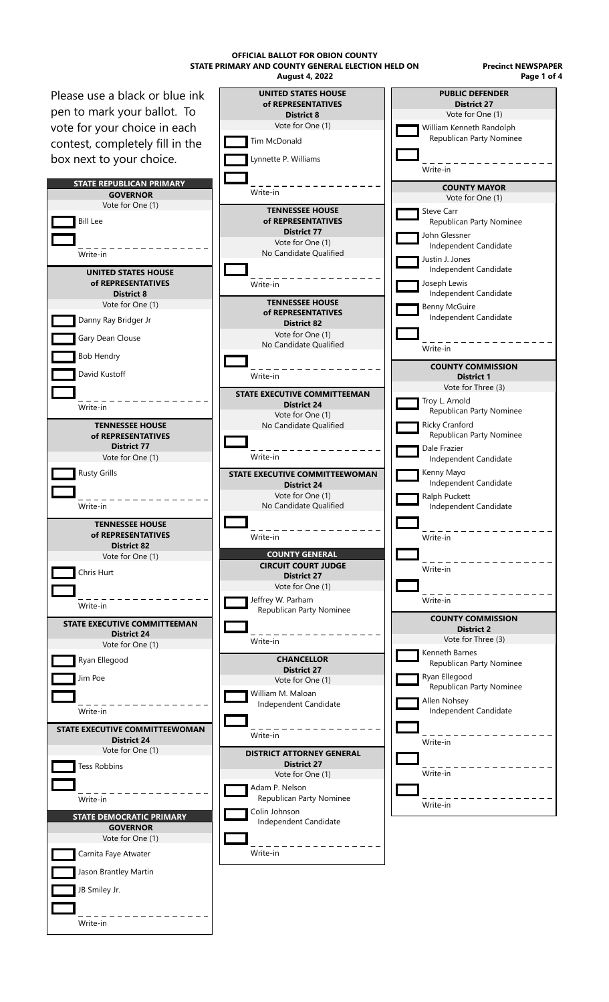Please use a black or blue ink pen to mark your ballot. To vote for your choice in each contest, completely fill in the box next to your choice. **STATE REPUBLICAN PRIMARY**



JB Smiley Jr.

. \_ \_ \_ \_ \_ \_ \_ \_ \_ \_ \_ \_

Write-in



**OFFICIAL BALLOT FOR OBION COUNTY STATE PRIMARY AND COUNTY GENERAL ELECTION HELD ON**

**Precinct NEWSPAPER Page 1 of 4**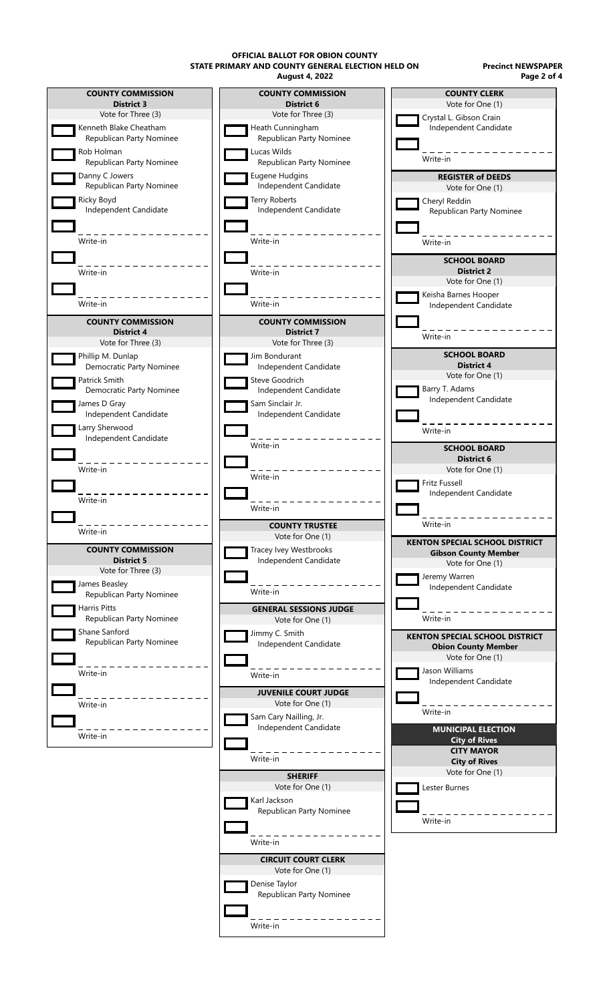**OFFICIAL BALLOT FOR OBION COUNTY**

**August 4, 2022 STATE PRIMARY AND COUNTY GENERAL ELECTION HELD ON**

**Precinct NEWSPAPER Page 2 of 4**





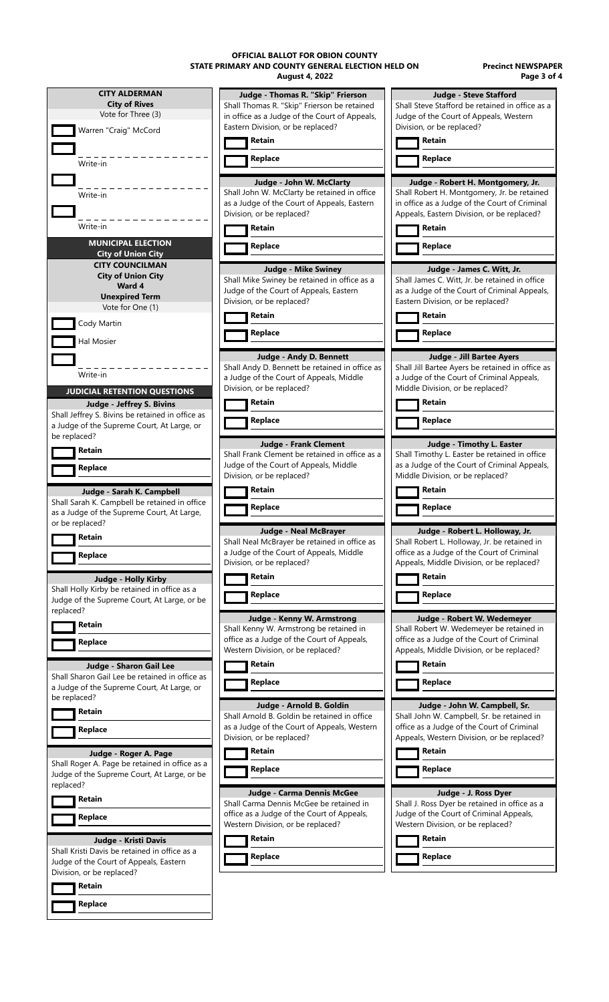**August 4, 2022 OFFICIAL BALLOT FOR OBION COUNTY STATE PRIMARY AND COUNTY GENERAL ELECTION HELD ON**

**Precinct NEWSPAPER Page 3 of 4**

| <b>CITY ALDERMAN</b>                             | Judge - Thomas R. "Skip" Frierson              | <b>Judge - Steve Stafford</b>                    |
|--------------------------------------------------|------------------------------------------------|--------------------------------------------------|
|                                                  |                                                |                                                  |
| <b>City of Rives</b>                             | Shall Thomas R. "Skip" Frierson be retained    | Shall Steve Stafford be retained in office as a  |
| Vote for Three (3)                               | in office as a Judge of the Court of Appeals,  | Judge of the Court of Appeals, Western           |
|                                                  |                                                |                                                  |
| Warren "Craig" McCord                            | Eastern Division, or be replaced?              | Division, or be replaced?                        |
|                                                  |                                                |                                                  |
|                                                  | <b>Retain</b>                                  | Retain                                           |
|                                                  |                                                |                                                  |
|                                                  | Replace                                        | Replace                                          |
| Write-in                                         |                                                |                                                  |
|                                                  |                                                |                                                  |
|                                                  |                                                |                                                  |
|                                                  | Judge - John W. McClarty                       | Judge - Robert H. Montgomery, Jr.                |
|                                                  | Shall John W. McClarty be retained in office   | Shall Robert H. Montgomery, Jr. be retained      |
| Write-in                                         |                                                |                                                  |
|                                                  | as a Judge of the Court of Appeals, Eastern    | in office as a Judge of the Court of Criminal    |
|                                                  | Division, or be replaced?                      | Appeals, Eastern Division, or be replaced?       |
|                                                  |                                                |                                                  |
| Write-in                                         | Retain                                         | Retain                                           |
|                                                  |                                                |                                                  |
| <b>MUNICIPAL ELECTION</b>                        |                                                |                                                  |
|                                                  | Replace                                        | Replace                                          |
| <b>City of Union City</b>                        |                                                |                                                  |
| <b>CITY COUNCILMAN</b>                           |                                                |                                                  |
|                                                  | <b>Judge - Mike Swiney</b>                     | Judge - James C. Witt, Jr.                       |
| <b>City of Union City</b>                        |                                                |                                                  |
| Ward 4                                           | Shall Mike Swiney be retained in office as a   | Shall James C. Witt, Jr. be retained in office   |
|                                                  | Judge of the Court of Appeals, Eastern         | as a Judge of the Court of Criminal Appeals,     |
| <b>Unexpired Term</b>                            |                                                |                                                  |
| Vote for One (1)                                 | Division, or be replaced?                      | Eastern Division, or be replaced?                |
|                                                  |                                                |                                                  |
|                                                  | Retain                                         | Retain                                           |
| Cody Martin                                      |                                                |                                                  |
|                                                  | Replace                                        | Replace                                          |
| Hal Mosier                                       |                                                |                                                  |
|                                                  |                                                |                                                  |
|                                                  | Judge - Andy D. Bennett                        | <b>Judge - Jill Bartee Ayers</b>                 |
|                                                  |                                                |                                                  |
|                                                  | Shall Andy D. Bennett be retained in office as | Shall Jill Bartee Ayers be retained in office as |
| Write-in                                         | a Judge of the Court of Appeals, Middle        | a Judge of the Court of Criminal Appeals,        |
|                                                  |                                                |                                                  |
| JUDICIAL RETENTION QUESTIONS                     | Division, or be replaced?                      | Middle Division, or be replaced?                 |
|                                                  |                                                |                                                  |
| Judge - Jeffrey S. Bivins                        | Retain                                         | Retain                                           |
|                                                  |                                                |                                                  |
| Shall Jeffrey S. Bivins be retained in office as | <b>Replace</b>                                 | Replace                                          |
| a Judge of the Supreme Court, At Large, or       |                                                |                                                  |
|                                                  |                                                |                                                  |
| be replaced?                                     |                                                |                                                  |
|                                                  | <b>Judge - Frank Clement</b>                   | Judge - Timothy L. Easter                        |
| Retain                                           | Shall Frank Clement be retained in office as a | Shall Timothy L. Easter be retained in office    |
|                                                  |                                                |                                                  |
| Replace                                          | Judge of the Court of Appeals, Middle          | as a Judge of the Court of Criminal Appeals,     |
|                                                  | Division, or be replaced?                      | Middle Division, or be replaced?                 |
|                                                  |                                                |                                                  |
| Judge - Sarah K. Campbell                        | Retain                                         | Retain                                           |
|                                                  |                                                |                                                  |
| Shall Sarah K. Campbell be retained in office    |                                                |                                                  |
| as a Judge of the Supreme Court, At Large,       | Replace                                        | Replace                                          |
|                                                  |                                                |                                                  |
| or be replaced?                                  |                                                |                                                  |
|                                                  | Judge - Neal McBrayer                          | Judge - Robert L. Holloway, Jr.                  |
|                                                  |                                                |                                                  |
| Retain                                           |                                                |                                                  |
|                                                  | Shall Neal McBrayer be retained in office as   | Shall Robert L. Holloway, Jr. be retained in     |
|                                                  | a Judge of the Court of Appeals, Middle        | office as a Judge of the Court of Criminal       |
| Replace                                          |                                                |                                                  |
|                                                  | Division, or be replaced?                      | Appeals, Middle Division, or be replaced?        |
|                                                  |                                                |                                                  |
| <b>Judge - Holly Kirby</b>                       | Retain                                         | Retain                                           |
|                                                  |                                                |                                                  |
| Shall Holly Kirby be retained in office as a     | Replace                                        | Replace                                          |
| Judge of the Supreme Court, At Large, or be      |                                                |                                                  |
| replaced?                                        |                                                |                                                  |
|                                                  | Judge - Kenny W. Armstrong                     | Judge - Robert W. Wedemeyer                      |
| Retain                                           |                                                |                                                  |
|                                                  | Shall Kenny W. Armstrong be retained in        | Shall Robert W. Wedemeyer be retained in         |
|                                                  | office as a Judge of the Court of Appeals,     | office as a Judge of the Court of Criminal       |
| Replace                                          |                                                |                                                  |
|                                                  | Western Division, or be replaced?              | Appeals, Middle Division, or be replaced?        |
|                                                  |                                                | Retain                                           |
| Judge - Sharon Gail Lee                          | Retain                                         |                                                  |
| Shall Sharon Gail Lee be retained in office as   |                                                |                                                  |
|                                                  | Replace                                        | <b>Replace</b>                                   |
| a Judge of the Supreme Court, At Large, or       |                                                |                                                  |
| be replaced?                                     |                                                |                                                  |
|                                                  | Judge - Arnold B. Goldin                       | Judge - John W. Campbell, Sr.                    |
| Retain                                           |                                                |                                                  |
|                                                  | Shall Arnold B. Goldin be retained in office   | Shall John W. Campbell, Sr. be retained in       |
|                                                  | as a Judge of the Court of Appeals, Western    | office as a Judge of the Court of Criminal       |
| Replace                                          |                                                |                                                  |
|                                                  | Division, or be replaced?                      | Appeals, Western Division, or be replaced?       |
|                                                  | Retain                                         | Retain                                           |
| Judge - Roger A. Page                            |                                                |                                                  |
| Shall Roger A. Page be retained in office as a   |                                                |                                                  |
|                                                  | Replace                                        | <b>Replace</b>                                   |
| Judge of the Supreme Court, At Large, or be      |                                                |                                                  |
| replaced?                                        |                                                |                                                  |
|                                                  | Judge - Carma Dennis McGee                     | Judge - J. Ross Dyer                             |
| Retain                                           |                                                |                                                  |
|                                                  | Shall Carma Dennis McGee be retained in        | Shall J. Ross Dyer be retained in office as a    |
|                                                  | office as a Judge of the Court of Appeals,     | Judge of the Court of Criminal Appeals,          |
| Replace                                          |                                                |                                                  |
|                                                  | Western Division, or be replaced?              | Western Division, or be replaced?                |
|                                                  |                                                |                                                  |
| Judge - Kristi Davis                             | Retain                                         | <b>Retain</b>                                    |
|                                                  |                                                |                                                  |
| Shall Kristi Davis be retained in office as a    | <b>Replace</b>                                 | Replace                                          |
| Judge of the Court of Appeals, Eastern           |                                                |                                                  |
|                                                  |                                                |                                                  |
| Division, or be replaced?                        |                                                |                                                  |
| Retain                                           |                                                |                                                  |
|                                                  |                                                |                                                  |
|                                                  |                                                |                                                  |
| <b>Replace</b>                                   |                                                |                                                  |
|                                                  |                                                |                                                  |